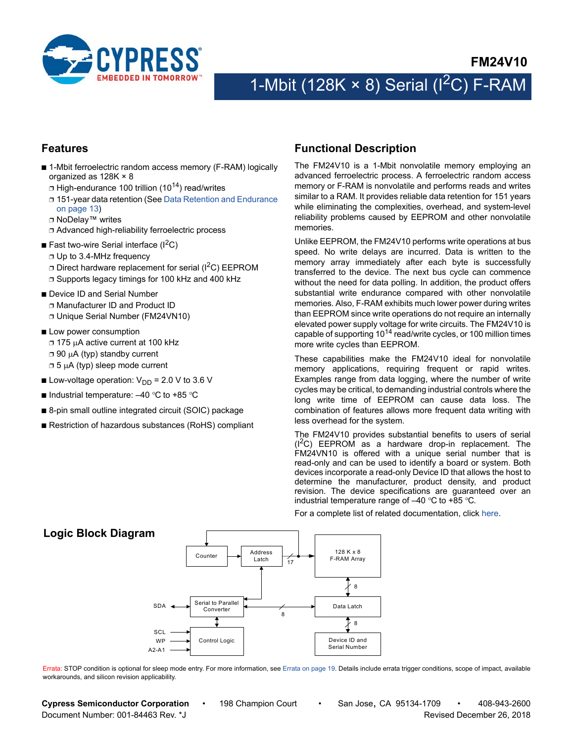

# 1-Mbit (128K  $\times$  8) Serial (I<sup>2</sup>C) F-RAM

## **Features**

- 1-Mbit ferroelectric random access memory (F-RAM) logically organized as 128K × 8
	- $\Box$  High-endurance 100 trillion (10<sup>14</sup>) read/writes
	- ❐ 151-year data retention (See [Data Retention and Endurance](#page-12-0) [on page 13](#page-12-0))
	- ❐ NoDelay™ writes
	- ❐ Advanced high-reliability ferroelectric process
- **E** Fast two-wire Serial interface  $(I^2C)$ 
	- ❐ Up to 3.4-MHz frequency
	- **□ Direct hardware replacement for serial (I<sup>2</sup>C) EEPROM**
	- ❐ Supports legacy timings for 100 kHz and 400 kHz
- Device ID and Serial Number ❐ Manufacturer ID and Product ID ❐ Unique Serial Number (FM24VN10)
- Low power consumption □ 175 µA active current at 100 kHz  $\Box$  90  $\mu$ A (typ) standby current  $\Box$  5  $\mu$ A (typ) sleep mode current
- **Low-voltage operation:**  $V_{DD}$  **= 2.0 V to 3.6 V**
- Industrial temperature:  $-40$  °C to +85 °C
- 8-pin small outline integrated circuit (SOIC) package
- Restriction of hazardous substances (RoHS) compliant

## <span id="page-0-0"></span>**Functional Description**

The FM24V10 is a 1-Mbit nonvolatile memory employing an advanced ferroelectric process. A ferroelectric random access memory or F-RAM is nonvolatile and performs reads and writes similar to a RAM. It provides reliable data retention for 151 years while eliminating the complexities, overhead, and system-level reliability problems caused by EEPROM and other nonvolatile memories.

Unlike EEPROM, the FM24V10 performs write operations at bus speed. No write delays are incurred. Data is written to the memory array immediately after each byte is successfully transferred to the device. The next bus cycle can commence without the need for data polling. In addition, the product offers substantial write endurance compared with other nonvolatile memories. Also, F-RAM exhibits much lower power during writes than EEPROM since write operations do not require an internally elevated power supply voltage for write circuits. The FM24V10 is capable of supporting  $10^{14}$  read/write cycles, or 100 million times more write cycles than EEPROM.

These capabilities make the FM24V10 ideal for nonvolatile memory applications, requiring frequent or rapid writes. Examples range from data logging, where the number of write cycles may be critical, to demanding industrial controls where the long write time of EEPROM can cause data loss. The combination of features allows more frequent data writing with less overhead for the system.

The FM24V10 provides substantial benefits to users of serial  $(I<sup>2</sup>C)$  EEPROM as a hardware drop-in replacement. The FM24VN10 is offered with a unique serial number that is read-only and can be used to identify a board or system. Both devices incorporate a read-only Device ID that allows the host to determine the manufacturer, product density, and product revision. The device specifications are guaranteed over an industrial temperature range of  $-40$  °C to +85 °C.

Address Latch 128 K x 8 F-RAM Array Data Latch 8 SDA Counter Serial to Parallel Converter Control Logic SCI **ME** A2-A1 Device ID and Serial Number 8 .<br>17 8 **Logic Block Diagram**

For a complete list of related documentation, click [here](http://www.cypress.com/?rID=73495).

Errata: STOP condition is optional for sleep mode entry. For more information, see [Errata on page 19](#page-18-0). Details include errata trigger conditions, scope of impact, available workarounds, and silicon revision applicability.

**Cypress Semiconductor Corporation** • 198 Champion Court • San Jose, CA 95134-1709 • 408-943-2600 Document Number: 001-84463 Rev. \*J Revised December 26, 2018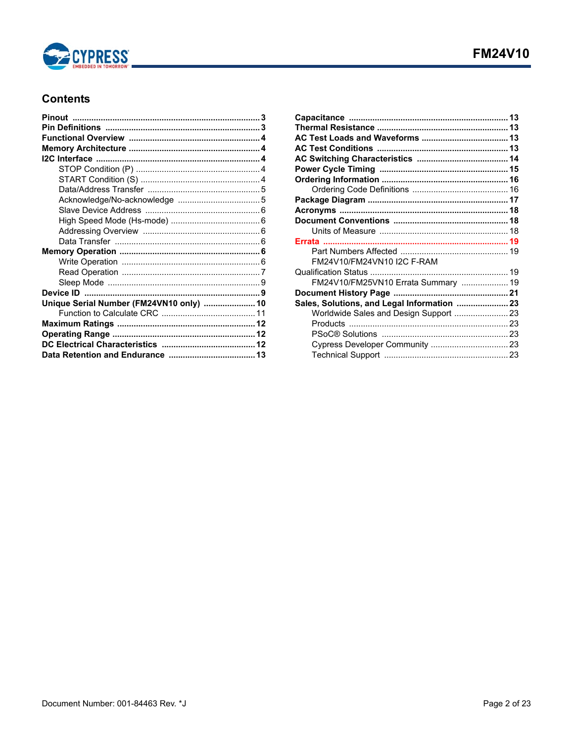

## **Contents**

| Unique Serial Number (FM24VN10 only)  10 |  |
|------------------------------------------|--|
|                                          |  |
|                                          |  |
|                                          |  |
|                                          |  |
|                                          |  |
|                                          |  |

| FM24V10/FM24VN10 I2C F-RAM                  |  |
|---------------------------------------------|--|
|                                             |  |
| FM24V10/FM25VN10 Errata Summary  19         |  |
|                                             |  |
| Sales, Solutions, and Legal Information  23 |  |
|                                             |  |
|                                             |  |
|                                             |  |
|                                             |  |
|                                             |  |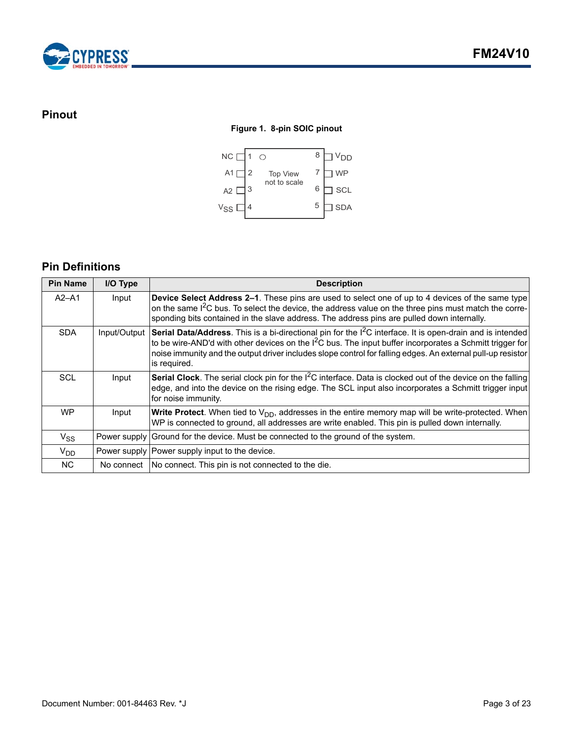

## <span id="page-2-0"></span>**Pinout**

## **Figure 1. 8-pin SOIC pinout**



## <span id="page-2-1"></span>**Pin Definitions**

| <b>Pin Name</b> | I/O Type     | <b>Description</b>                                                                                                                                                                                                                                                                                                                                                 |
|-----------------|--------------|--------------------------------------------------------------------------------------------------------------------------------------------------------------------------------------------------------------------------------------------------------------------------------------------------------------------------------------------------------------------|
| $A2 - A1$       | Input        | Device Select Address 2-1. These pins are used to select one of up to 4 devices of the same type<br>on the same I <sup>2</sup> C bus. To select the device, the address value on the three pins must match the corre-<br>sponding bits contained in the slave address. The address pins are pulled down internally.                                                |
| <b>SDA</b>      | Input/Output | Serial Data/Address. This is a bi-directional pin for the I <sup>2</sup> C interface. It is open-drain and is intended<br>to be wire-AND'd with other devices on the $l2C$ bus. The input buffer incorporates a Schmitt trigger for<br>noise immunity and the output driver includes slope control for falling edges. An external pull-up resistor<br>is required. |
| SCL             | Input        | <b>Serial Clock</b> . The serial clock pin for the $I^2C$ interface. Data is clocked out of the device on the falling<br>edge, and into the device on the rising edge. The SCL input also incorporates a Schmitt trigger input<br>for noise immunity.                                                                                                              |
| <b>WP</b>       | Input        | <b>Write Protect</b> . When tied to $V_{DD}$ , addresses in the entire memory map will be write-protected. When<br>WP is connected to ground, all addresses are write enabled. This pin is pulled down internally.                                                                                                                                                 |
| $V_{SS}$        |              | Power supply Ground for the device. Must be connected to the ground of the system.                                                                                                                                                                                                                                                                                 |
| $V_{DD}$        |              | Power supply Power supply input to the device.                                                                                                                                                                                                                                                                                                                     |
| <b>NC</b>       |              | No connect   No connect. This pin is not connected to the die.                                                                                                                                                                                                                                                                                                     |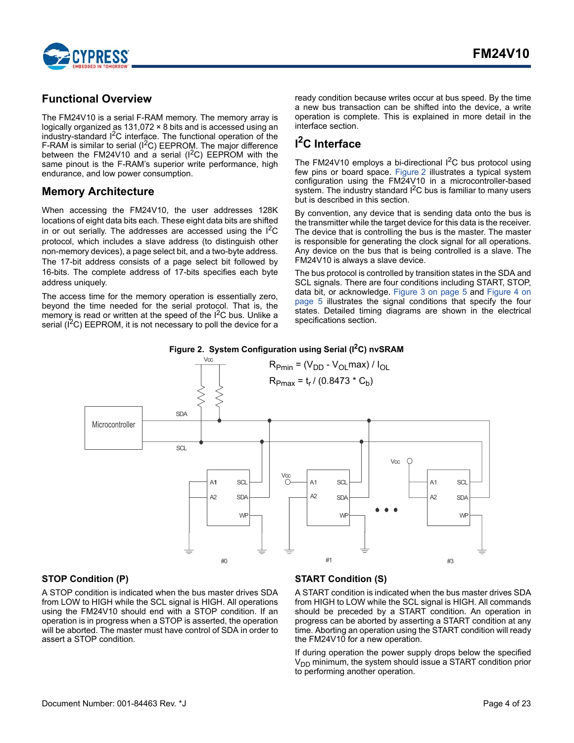

## <span id="page-3-0"></span>**Functional Overview**

The FM24V10 is a serial F-RAM memory. The memory array is logically organized as 131,072 × 8 bits and is accessed using an industry-standard I<sup>2</sup>C interface. The functional operation of the F-RAM is similar to serial ( $1^2C$ ) EEPROM. The major difference between the FM24V10 and a serial  $(I^2C)$  EEPROM with the same pinout is the F-RAM's superior write performance, high endurance, and low power consumption.

## <span id="page-3-1"></span>**Memory Architecture**

When accessing the FM24V10, the user addresses 128K locations of eight data bits each. These eight data bits are shifted in or out serially. The addresses are accessed using the  $1^2C$ protocol, which includes a slave address (to distinguish other non-memory devices), a page select bit, and a two-byte address. The 17-bit address consists of a page select bit followed by 16-bits. The complete address of 17-bits specifies each byte address uniquely.

The access time for the memory operation is essentially zero, beyond the time needed for the serial protocol. That is, the memory is read or written at the speed of the  $1^2C$  bus. Unlike a serial  $(I<sup>2</sup>C)$  EEPROM, it is not necessary to poll the device for a

ready condition because writes occur at bus speed. By the time a new bus transaction can be shifted into the device, a write operation is complete. This is explained in more detail in the interface section.

## <span id="page-3-2"></span>**I 2C Interface**

The FM24V10 employs a bi-directional  $I^2C$  bus protocol using few pins or board space. [Figure 2](#page-3-5) illustrates a typical system configuration using the FM24V10 in a microcontroller-based system. The industry standard  $I^2C$  bus is familiar to many users but is described in this section.

By convention, any device that is sending data onto the bus is the transmitter while the target device for this data is the receiver. The device that is controlling the bus is the master. The master is responsible for generating the clock signal for all operations. Any device on the bus that is being controlled is a slave. The FM24V10 is always a slave device.

The bus protocol is controlled by transition states in the SDA and SCL signals. There are four conditions including START, STOP, data bit, or acknowledge. [Figure 3 on page 5](#page-4-2) and [Figure 4 on](#page-4-3) [page 5](#page-4-3) illustrates the signal conditions that specify the four states. Detailed timing diagrams are shown in the electrical specifications section.

## Figure 2. System Configuration using Serial (I<sup>2</sup>C) nvSRAM

<span id="page-3-5"></span>

## <span id="page-3-3"></span>**STOP Condition (P)**

A STOP condition is indicated when the bus master drives SDA from LOW to HIGH while the SCL signal is HIGH. All operations using the FM24V10 should end with a STOP condition. If an operation is in progress when a STOP is asserted, the operation will be aborted. The master must have control of SDA in order to assert a STOP condition.

## <span id="page-3-4"></span>**START Condition (S)**

A START condition is indicated when the bus master drives SDA from HIGH to LOW while the SCL signal is HIGH. All commands should be preceded by a START condition. An operation in progress can be aborted by asserting a START condition at any time. Aborting an operation using the START condition will ready the FM24V10 for a new operation.

If during operation the power supply drops below the specified  $V<sub>DD</sub>$  minimum, the system should issue a START condition prior to performing another operation.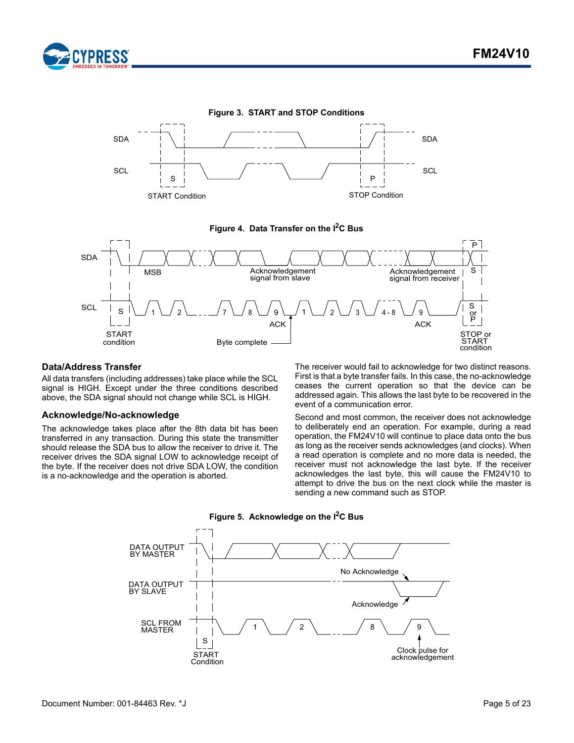

<span id="page-4-2"></span>



<span id="page-4-3"></span>

#### <span id="page-4-0"></span>**Data/Address Transfer**

All data transfers (including addresses) take place while the SCL signal is HIGH. Except under the three conditions described above, the SDA signal should not change while SCL is HIGH.

#### <span id="page-4-1"></span>**Acknowledge/No-acknowledge**

**PRESS** 

The acknowledge takes place after the 8th data bit has been transferred in any transaction. During this state the transmitter should release the SDA bus to allow the receiver to drive it. The receiver drives the SDA signal LOW to acknowledge receipt of the byte. If the receiver does not drive SDA LOW, the condition is a no-acknowledge and the operation is aborted.

The receiver would fail to acknowledge for two distinct reasons. First is that a byte transfer fails. In this case, the no-acknowledge ceases the current operation so that the device can be addressed again. This allows the last byte to be recovered in the event of a communication error.

Second and most common, the receiver does not acknowledge to deliberately end an operation. For example, during a read operation, the FM24V10 will continue to place data onto the bus as long as the receiver sends acknowledges (and clocks). When a read operation is complete and no more data is needed, the receiver must not acknowledge the last byte. If the receiver acknowledges the last byte, this will cause the FM24V10 to attempt to drive the bus on the next clock while the master is sending a new command such as STOP.



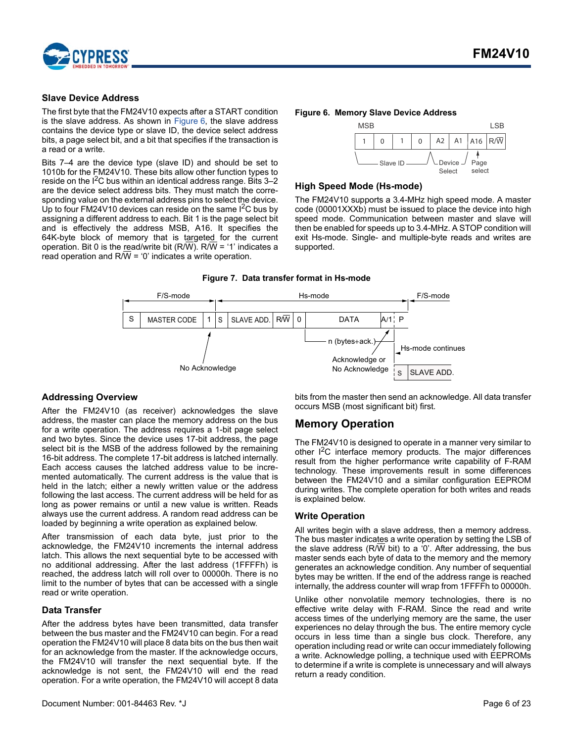

#### <span id="page-5-0"></span>**Slave Device Address**

The first byte that the FM24V10 expects after a START condition is the slave address. As shown in [Figure 6,](#page-5-6) the slave address contains the device type or slave ID, the device select address bits, a page select bit, and a bit that specifies if the transaction is a read or a write.

Bits 7–4 are the device type (slave ID) and should be set to 1010b for the FM24V10. These bits allow other function types to reside on the  $I^2C$  bus within an identical address range. Bits 3–2 are the device select address bits. They must match the corresponding value on the external address pins to select the device. Up to four FM24V10 devices can reside on the same  $I^2C$  bus by assigning a different address to each. Bit 1 is the page select bit and is effectively the address MSB, A16. It specifies the 64K-byte block of memory that is targeted for the current operation. Bit 0 is the read/write bit  $(R/\overline{W})$ . R/ $\overline{W}$  = '1' indicates a read operation and R/W = '0' indicates a write operation.

#### <span id="page-5-6"></span>**Figure 6. Memory Slave Device Address**



#### <span id="page-5-1"></span>**High Speed Mode (Hs-mode)**

The FM24V10 supports a 3.4-MHz high speed mode. A master code (00001XXXb) must be issued to place the device into high speed mode. Communication between master and slave will then be enabled for speeds up to 3.4-MHz. A STOP condition will exit Hs-mode. Single- and multiple-byte reads and writes are supported.

#### **Figure 7. Data transfer format in Hs-mode**



#### <span id="page-5-2"></span>**Addressing Overview**

After the FM24V10 (as receiver) acknowledges the slave address, the master can place the memory address on the bus for a write operation. The address requires a 1-bit page select and two bytes. Since the device uses 17-bit address, the page select bit is the MSB of the address followed by the remaining 16-bit address. The complete 17-bit address is latched internally. Each access causes the latched address value to be incremented automatically. The current address is the value that is held in the latch; either a newly written value or the address following the last access. The current address will be held for as long as power remains or until a new value is written. Reads always use the current address. A random read address can be loaded by beginning a write operation as explained below.

After transmission of each data byte, just prior to the acknowledge, the FM24V10 increments the internal address latch. This allows the next sequential byte to be accessed with no additional addressing. After the last address (1FFFFh) is reached, the address latch will roll over to 00000h. There is no limit to the number of bytes that can be accessed with a single read or write operation.

#### <span id="page-5-3"></span>**Data Transfer**

After the address bytes have been transmitted, data transfer between the bus master and the FM24V10 can begin. For a read operation the FM24V10 will place 8 data bits on the bus then wait for an acknowledge from the master. If the acknowledge occurs, the FM24V10 will transfer the next sequential byte. If the acknowledge is not sent, the FM24V10 will end the read operation. For a write operation, the FM24V10 will accept 8 data bits from the master then send an acknowledge. All data transfer occurs MSB (most significant bit) first.

## <span id="page-5-4"></span>**Memory Operation**

The FM24V10 is designed to operate in a manner very similar to other I<sup>2</sup>C interface memory products. The major differences result from the higher performance write capability of F-RAM technology. These improvements result in some differences between the FM24V10 and a similar configuration EEPROM during writes. The complete operation for both writes and reads is explained below.

#### <span id="page-5-5"></span>**Write Operation**

All writes begin with a slave address, then a memory address. The bus master indicates a write operation by setting the LSB of the slave address (R/W bit) to a '0'. After addressing, the bus master sends each byte of data to the memory and the memory generates an acknowledge condition. Any number of sequential bytes may be written. If the end of the address range is reached internally, the address counter will wrap from 1FFFFh to 00000h.

Unlike other nonvolatile memory technologies, there is no effective write delay with F-RAM. Since the read and write access times of the underlying memory are the same, the user experiences no delay through the bus. The entire memory cycle occurs in less time than a single bus clock. Therefore, any operation including read or write can occur immediately following a write. Acknowledge polling, a technique used with EEPROMs to determine if a write is complete is unnecessary and will always return a ready condition.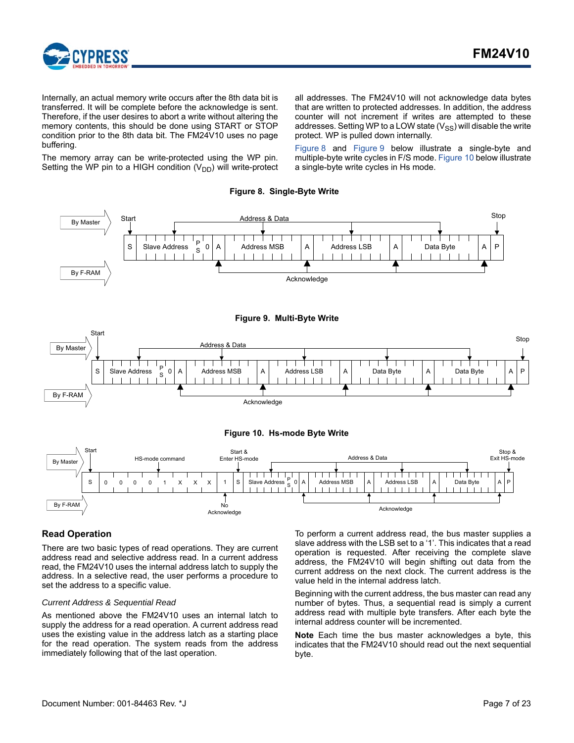

Internally, an actual memory write occurs after the 8th data bit is transferred. It will be complete before the acknowledge is sent. Therefore, if the user desires to abort a write without altering the memory contents, this should be done using START or STOP condition prior to the 8th data bit. The FM24V10 uses no page buffering.

The memory array can be write-protected using the WP pin. Setting the WP pin to a HIGH condition  $(V_{DD})$  will write-protect all addresses. The FM24V10 will not acknowledge data bytes that are written to protected addresses. In addition, the address counter will not increment if writes are attempted to these addresses. Setting WP to a LOW state  $(V_{SS})$  will disable the write protect. WP is pulled down internally.

[Figure 8](#page-6-1) and [Figure 9](#page-6-2) below illustrate a single-byte and multiple-byte write cycles in F/S mode. [Figure 10](#page-6-3) below illustrate a single-byte write cycles in Hs mode.

**Figure 8. Single-Byte Write** 

<span id="page-6-2"></span><span id="page-6-1"></span>

#### <span id="page-6-3"></span><span id="page-6-0"></span>**Read Operation**

There are two basic types of read operations. They are current address read and selective address read. In a current address read, the FM24V10 uses the internal address latch to supply the address. In a selective read, the user performs a procedure to set the address to a specific value.

#### *Current Address & Sequential Read*

As mentioned above the FM24V10 uses an internal latch to supply the address for a read operation. A current address read uses the existing value in the address latch as a starting place for the read operation. The system reads from the address immediately following that of the last operation.

To perform a current address read, the bus master supplies a slave address with the LSB set to a '1'. This indicates that a read operation is requested. After receiving the complete slave address, the FM24V10 will begin shifting out data from the current address on the next clock. The current address is the value held in the internal address latch.

Beginning with the current address, the bus master can read any number of bytes. Thus, a sequential read is simply a current address read with multiple byte transfers. After each byte the internal address counter will be incremented.

**Note** Each time the bus master acknowledges a byte, this indicates that the FM24V10 should read out the next sequential byte.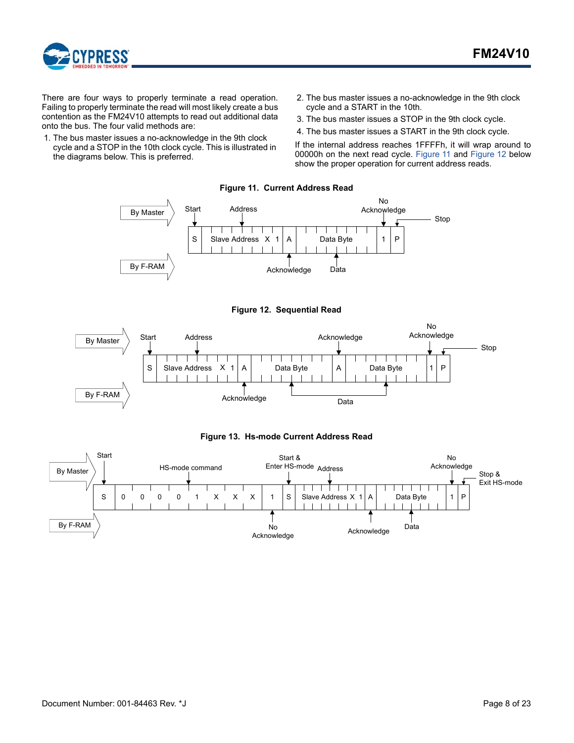

There are four ways to properly terminate a read operation. Failing to properly terminate the read will most likely create a bus contention as the FM24V10 attempts to read out additional data onto the bus. The four valid methods are:

- <span id="page-7-0"></span>1. The bus master issues a no-acknowledge in the 9th clock cycle and a STOP in the 10th clock cycle. This is illustrated in the diagrams below. This is preferred.
- 2. The bus master issues a no-acknowledge in the 9th clock cycle and a START in the 10th.
- 3. The bus master issues a STOP in the 9th clock cycle.
- 4. The bus master issues a START in the 9th clock cycle.

If the internal address reaches 1FFFFh, it will wrap around to 00000h on the next read cycle. [Figure 11](#page-7-0) and [Figure 12](#page-7-1) below show the proper operation for current address reads.

**Figure 11. Current Address Read**



**Figure 12. Sequential Read**

<span id="page-7-1"></span>



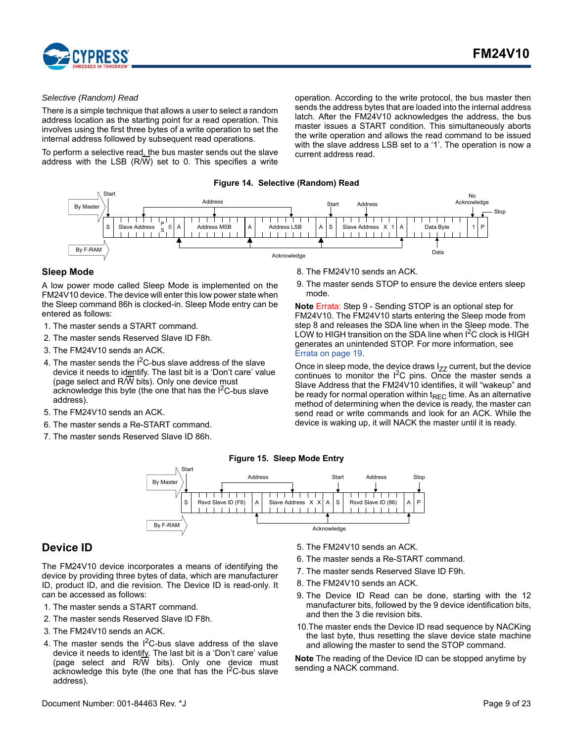

#### *Selective (Random) Read*

There is a simple technique that allows a user to select a random address location as the starting point for a read operation. This involves using the first three bytes of a write operation to set the internal address followed by subsequent read operations.

To perform a selective read, the bus master sends out the slave address with the LSB (R/W) set to 0. This specifies a write operation. According to the write protocol, the bus master then sends the address bytes that are loaded into the internal address latch. After the FM24V10 acknowledges the address, the bus master issues a START condition. This simultaneously aborts the write operation and allows the read command to be issued with the slave address LSB set to a '1'. The operation is now a current address read.

**Figure 14. Selective (Random) Read**



#### <span id="page-8-0"></span>**Sleep Mode**

A low power mode called Sleep Mode is implemented on the FM24V10 device. The device will enter this low power state when the Sleep command 86h is clocked-in. Sleep Mode entry can be entered as follows:

- 1. The master sends a START command.
- 2. The master sends Reserved Slave ID F8h.
- 3. The FM24V10 sends an ACK.
- 4. The master sends the  $1^2C$ -bus slave address of the slave device it needs to identify. The last bit is a 'Don't care' value (page select and R/W bits). Only one device must acknowledge this byte (the one that has the  $I^2C$ -bus slave address).
- 5. The FM24V10 sends an ACK.
- 6. The master sends a Re-START command.
- 7. The master sends Reserved Slave ID 86h.
- 8. The FM24V10 sends an ACK.
- 9. The master sends STOP to ensure the device enters sleep mode.

**Note** Errata: Step 9 - Sending STOP is an optional step for FM24V10. The FM24V10 starts entering the Sleep mode from step 8 and releases the SDA line when in the Sleep mode. The LOW to HIGH transition on the SDA line when  $1^2C$  clock is HIGH generates an unintended STOP. For more information, see [Errata on page 19](#page-18-0).

Once in sleep mode, the device draws  $I_{ZZ}$  current, but the device continues to monitor the  $I^2C$  pins. Once the master sends a Slave Address that the FM24V10 identifies, it will "wakeup" and be ready for normal operation within  $t_{REC}$  time. As an alternative method of determining when the device is ready, the master can send read or write commands and look for an ACK. While the device is waking up, it will NACK the master until it is ready.

#### **Figure 15. Sleep Mode Entry**



## <span id="page-8-1"></span>**Device ID**

The FM24V10 device incorporates a means of identifying the device by providing three bytes of data, which are manufacturer ID, product ID, and die revision. The Device ID is read-only. It can be accessed as follows:

- 1. The master sends a START command.
- 2. The master sends Reserved Slave ID F8h.
- 3. The FM24V10 sends an ACK.
- 4. The master sends the  $I^2C$ -bus slave address of the slave device it needs to identify. The last bit is a 'Don't care' value (page select and R/W bits). Only one device must acknowledge this byte (the one that has the  $I^2C$ -bus slave address).
- 5. The FM24V10 sends an ACK.
- 6. The master sends a Re-START command.
- 7. The master sends Reserved Slave ID F9h.
- 8. The FM24V10 sends an ACK.
- 9. The Device ID Read can be done, starting with the 12 manufacturer bits, followed by the 9 device identification bits, and then the 3 die revision bits.
- 10.The master ends the Device ID read sequence by NACKing the last byte, thus resetting the slave device state machine and allowing the master to send the STOP command.

**Note** The reading of the Device ID can be stopped anytime by sending a NACK command.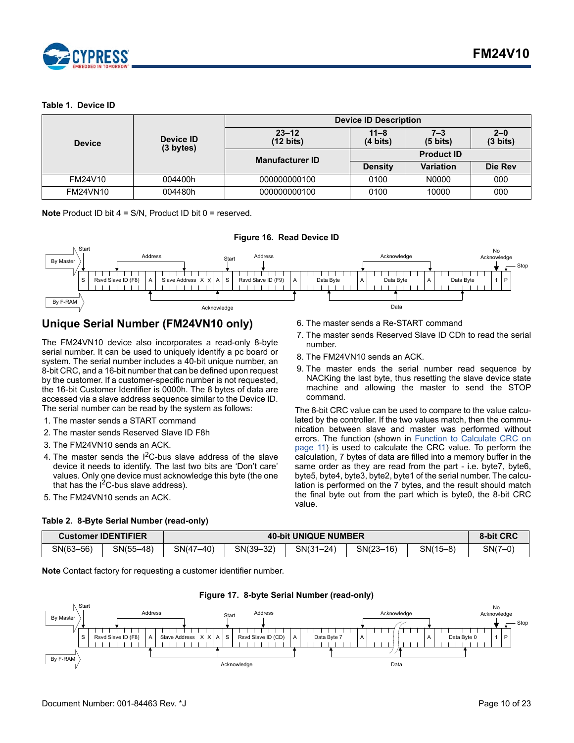

#### **Table 1. Device ID**

| <b>Device</b>   |                        |                                  | <b>Device ID Description</b>   |                               | $2 - 0$<br>$(3 \text{ bits})$ |  |
|-----------------|------------------------|----------------------------------|--------------------------------|-------------------------------|-------------------------------|--|
|                 | Device ID<br>(3 bytes) | $23 - 12$<br>$(12 \text{ bits})$ | $11 - 8$<br>$(4 \text{ bits})$ | $7 - 3$<br>$(5 \text{ bits})$ | Die Rev<br>000<br>000         |  |
|                 |                        | <b>Manufacturer ID</b>           | <b>Product ID</b>              |                               |                               |  |
|                 |                        |                                  | <b>Density</b>                 | <b>Variation</b>              |                               |  |
| FM24V10         | 004400h                | 000000000100                     | 0100                           | N0000                         |                               |  |
| <b>FM24VN10</b> | 004480h                | 000000000100                     | 0100                           | 10000                         |                               |  |

**Note** Product ID bit 4 = S/N, Product ID bit 0 = reserved.



## <span id="page-9-0"></span>**Unique Serial Number (FM24VN10 only)**

The FM24VN10 device also incorporates a read-only 8-byte serial number. It can be used to uniquely identify a pc board or system. The serial number includes a 40-bit unique number, an 8-bit CRC, and a 16-bit number that can be defined upon request by the customer. If a customer-specific number is not requested, the 16-bit Customer Identifier is 0000h. The 8 bytes of data are accessed via a slave address sequence similar to the Device ID. The serial number can be read by the system as follows:

- 1. The master sends a START command
- 2. The master sends Reserved Slave ID F8h

**Table 2. 8-Byte Serial Number (read-only)**

- 3. The FM24VN10 sends an ACK.
- 4. The master sends the  $1^2C$ -bus slave address of the slave device it needs to identify. The last two bits are 'Don't care' values. Only one device must acknowledge this byte (the one that has the  $I^2C$ -bus slave address).
- 5. The FM24VN10 sends an ACK.
- 6. The master sends a Re-START command
- 7. The master sends Reserved Slave ID CDh to read the serial number.
- 8. The FM24VN10 sends an ACK.
- 9. The master ends the serial number read sequence by NACKing the last byte, thus resetting the slave device state machine and allowing the master to send the STOP command.

The 8-bit CRC value can be used to compare to the value calculated by the controller. If the two values match, then the communication between slave and master was performed without errors. The function (shown in [Function to Calculate CRC on](#page-10-0) [page 11\)](#page-10-0) is used to calculate the CRC value. To perform the calculation, 7 bytes of data are filled into a memory buffer in the same order as they are read from the part - i.e. byte7, byte6, byte5, byte4, byte3, byte2, byte1 of the serial number. The calculation is performed on the 7 bytes, and the result should match the final byte out from the part which is byte0, the 8-bit CRC value.

| <b>Customer IDENTIFIER</b> |             |           |           | <b>40-bit UNIQUE NUMBER</b> |             |            | 8-bit CRC |
|----------------------------|-------------|-----------|-----------|-----------------------------|-------------|------------|-----------|
| SN(63-56)                  | $SN(55-48)$ | SN(47-40) | SN(39-32) | $SN(31 - 24)$               | $SN(23-16)$ | $SN(15-8)$ | $SN(7-0)$ |

**Note** Contact factory for requesting a customer identifier number.

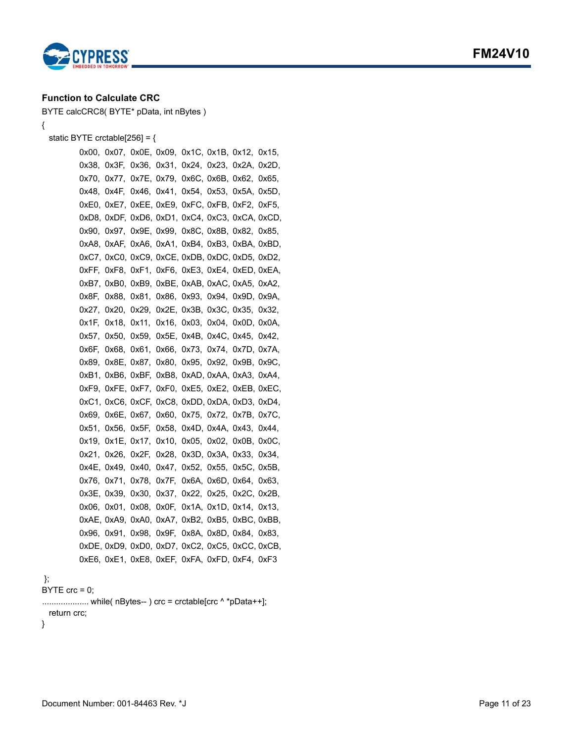



{

## <span id="page-10-0"></span>**Function to Calculate CRC**

BYTE calcCRC8( BYTE\* pData, int nBytes )

```
 static BYTE crctable[256] = {
```
0x00, 0x07, 0x0E, 0x09, 0x1C, 0x1B, 0x12, 0x15, 0x38, 0x3F, 0x36, 0x31, 0x24, 0x23, 0x2A, 0x2D, 0x70, 0x77, 0x7E, 0x79, 0x6C, 0x6B, 0x62, 0x65, 0x48, 0x4F, 0x46, 0x41, 0x54, 0x53, 0x5A, 0x5D, 0xE0, 0xE7, 0xEE, 0xE9, 0xFC, 0xFB, 0xF2, 0xF5, 0xD8, 0xDF, 0xD6, 0xD1, 0xC4, 0xC3, 0xCA, 0xCD, 0x90, 0x97, 0x9E, 0x99, 0x8C, 0x8B, 0x82, 0x85, 0xA8, 0xAF, 0xA6, 0xA1, 0xB4, 0xB3, 0xBA, 0xBD, 0xC7, 0xC0, 0xC9, 0xCE, 0xDB, 0xDC, 0xD5, 0xD2, 0xFF, 0xF8, 0xF1, 0xF6, 0xE3, 0xE4, 0xED, 0xEA, 0xB7, 0xB0, 0xB9, 0xBE, 0xAB, 0xAC, 0xA5, 0xA2, 0x8F, 0x88, 0x81, 0x86, 0x93, 0x94, 0x9D, 0x9A, 0x27, 0x20, 0x29, 0x2E, 0x3B, 0x3C, 0x35, 0x32, 0x1F, 0x18, 0x11, 0x16, 0x03, 0x04, 0x0D, 0x0A, 0x57, 0x50, 0x59, 0x5E, 0x4B, 0x4C, 0x45, 0x42, 0x6F, 0x68, 0x61, 0x66, 0x73, 0x74, 0x7D, 0x7A, 0x89, 0x8E, 0x87, 0x80, 0x95, 0x92, 0x9B, 0x9C, 0xB1, 0xB6, 0xBF, 0xB8, 0xAD, 0xAA, 0xA3, 0xA4, 0xF9, 0xFE, 0xF7, 0xF0, 0xE5, 0xE2, 0xEB, 0xEC, 0xC1, 0xC6, 0xCF, 0xC8, 0xDD, 0xDA, 0xD3, 0xD4, 0x69, 0x6E, 0x67, 0x60, 0x75, 0x72, 0x7B, 0x7C, 0x51, 0x56, 0x5F, 0x58, 0x4D, 0x4A, 0x43, 0x44, 0x19, 0x1E, 0x17, 0x10, 0x05, 0x02, 0x0B, 0x0C, 0x21, 0x26, 0x2F, 0x28, 0x3D, 0x3A, 0x33, 0x34, 0x4E, 0x49, 0x40, 0x47, 0x52, 0x55, 0x5C, 0x5B, 0x76, 0x71, 0x78, 0x7F, 0x6A, 0x6D, 0x64, 0x63, 0x3E, 0x39, 0x30, 0x37, 0x22, 0x25, 0x2C, 0x2B, 0x06, 0x01, 0x08, 0x0F, 0x1A, 0x1D, 0x14, 0x13, 0xAE, 0xA9, 0xA0, 0xA7, 0xB2, 0xB5, 0xBC, 0xBB, 0x96, 0x91, 0x98, 0x9F, 0x8A, 0x8D, 0x84, 0x83, 0xDE, 0xD9, 0xD0, 0xD7, 0xC2, 0xC5, 0xCC, 0xCB, 0xE6, 0xE1, 0xE8, 0xEF, 0xFA, 0xFD, 0xF4, 0xF3

```
 };
```
BYTE  $\text{crc} = 0$ :

```
........................... while(n\bar{B}ytes--\bar{C}) crc = crctable[crc ^ *pData++];
return crc;
```

```
}
```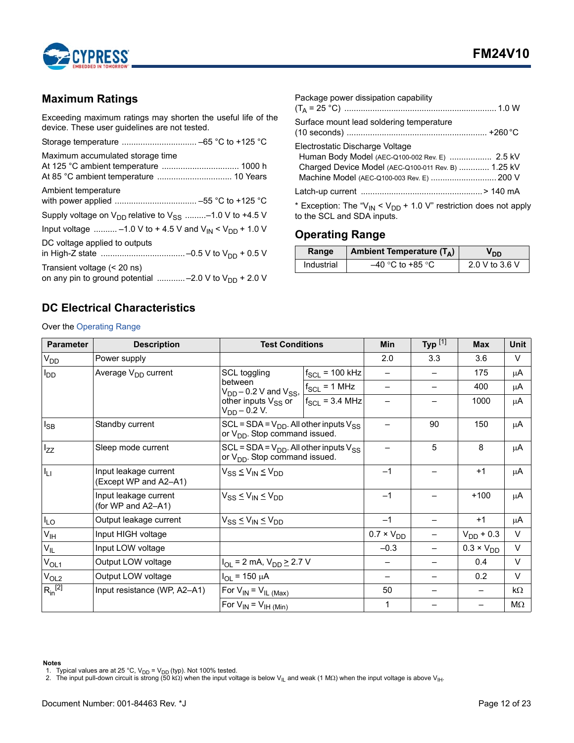

## <span id="page-11-0"></span>**Maximum Ratings**

Exceeding maximum ratings may shorten the useful life of the device. These user guidelines are not tested.

| Maximum accumulated storage time                                                         |
|------------------------------------------------------------------------------------------|
| Ambient temperature                                                                      |
| Supply voltage on $V_{DD}$ relative to $V_{SS}$ -1.0 V to +4.5 V                         |
| Input voltage  -1.0 V to + 4.5 V and $V_{IN}$ < $V_{DD}$ + 1.0 V                         |
| DC voltage applied to outputs                                                            |
| Transient voltage (< 20 ns)<br>on any pin to ground potential -2.0 V to $V_{DD}$ + 2.0 V |

| Package power dissipation capability                                                                                                                                                   |  |
|----------------------------------------------------------------------------------------------------------------------------------------------------------------------------------------|--|
| Surface mount lead soldering temperature                                                                                                                                               |  |
| Electrostatic Discharge Voltage<br>Human Body Model (AEC-Q100-002 Rev. E)  2.5 kV<br>Charged Device Model (AEC-Q100-011 Rev. B)  1.25 kV<br>Machine Model (AEC-Q100-003 Rev. E)  200 V |  |
|                                                                                                                                                                                        |  |
| * Exception: The " $V_{\text{IM}}$ < $V_{\text{DD}}$ + 1.0 V" restriction does not approximately                                                                                       |  |

\* Exception: The "V<sub>IN</sub> < V<sub>DD</sub> + 1.0 V" restriction does not apply to the SCL and SDA inputs.

## <span id="page-11-1"></span>**Operating Range**

| Range      | Ambient Temperature $(T_A)$ | חח             |
|------------|-----------------------------|----------------|
| Industrial | –40 °C to +85 °C            | 2.0 V to 3.6 V |

## <span id="page-11-2"></span>**DC Electrical Characteristics**

Over the [Operating Range](#page-11-1)

| <b>Parameter</b> | <b>Description</b>                             | <b>Test Conditions</b>                                                                 |                     | <b>Min</b>          | Typ $^{[1]}$ | <b>Max</b>               | Unit      |
|------------------|------------------------------------------------|----------------------------------------------------------------------------------------|---------------------|---------------------|--------------|--------------------------|-----------|
| V <sub>DD</sub>  | Power supply                                   |                                                                                        |                     | 2.0                 | 3.3          | 3.6                      | $\vee$    |
| OD               | Average V <sub>DD</sub> current                | SCL toggling                                                                           | $f_{SCL}$ = 100 kHz |                     |              | 175                      | μA        |
|                  |                                                | between<br>$V_{DD}$ – 0.2 V and $V_{SS}$ ,                                             | $ f_{SCL}$ = 1 MHz  |                     |              | 400                      | μA        |
|                  |                                                | other inputs V <sub>SS</sub> or<br>$V_{DD}$ – 0.2 V.                                   | $f_{SCL}$ = 3.4 MHz |                     |              | 1000                     | μA        |
| $I_{SB}$         | Standby current                                | SCL = SDA = $V_{DD}$ . All other inputs $V_{SS}$<br>or $V_{DD}$ . Stop command issued. |                     |                     | 90           | 150                      | μA        |
| $I_{ZZ}$         | Sleep mode current                             | $SCL = SDA = V_{DD}$ . All other inputs $V_{SS}$<br>or $V_{DD}$ . Stop command issued. |                     | 5                   | 8            | μA                       |           |
| ŀц               | Input leakage current<br>(Except WP and A2-A1) | $V_{SS} \leq V_{IN} \leq V_{DD}$                                                       |                     | $-1$                |              | $+1$                     | μA        |
|                  | Input leakage current<br>(for WP and A2-A1)    | $V_{SS} \leq V_{IN} \leq V_{DD}$                                                       |                     | $-1$                |              | $+100$                   | μA        |
| $I_{LO}$         | Output leakage current                         | $V_{SS} \leq V_{IN} \leq V_{DD}$                                                       |                     |                     |              | $+1$                     | μA        |
| $V_{\sf IH}$     | Input HIGH voltage                             |                                                                                        |                     | $0.7 \times V_{DD}$ |              | $V_{DD}$ + 0.3           | $\vee$    |
| $V_{IL}$         | Input LOW voltage                              |                                                                                        |                     | $-0.3$              |              | $0.3 \times V_{DD}$      | $\vee$    |
| $V_{OL1}$        | Output LOW voltage                             | $I_{OL}$ = 2 mA, $V_{DD}$ $\geq$ 2.7 V                                                 |                     |                     |              | 0.4                      | $\vee$    |
| V <sub>OL2</sub> | Output LOW voltage                             | $I_{OL}$ = 150 $\mu$ A                                                                 |                     |                     |              | 0.2                      | $\vee$    |
| $R_{in}^{[2]}$   | Input resistance (WP, A2-A1)                   | For $V_{IN} = V_{IL (Max)}$                                                            |                     | 50                  |              | $\overline{\phantom{0}}$ | $k\Omega$ |
|                  |                                                | For $V_{IN} = V_{IH (Min)}$                                                            |                     | 1                   |              |                          | ΜΩ        |

#### **Notes**

<span id="page-11-4"></span>1. Typical values are at 25 °C, V<sub>DD</sub> = V<sub>DD</sub> (typ). Not 100% tested.<br>2. The input pull-down circuit is strong (50 kΩ) when the input voltage is below V<sub>IL</sub> and weak (1 MΩ) when the input voltage is above V<sub>IH</sub>.

<span id="page-11-3"></span>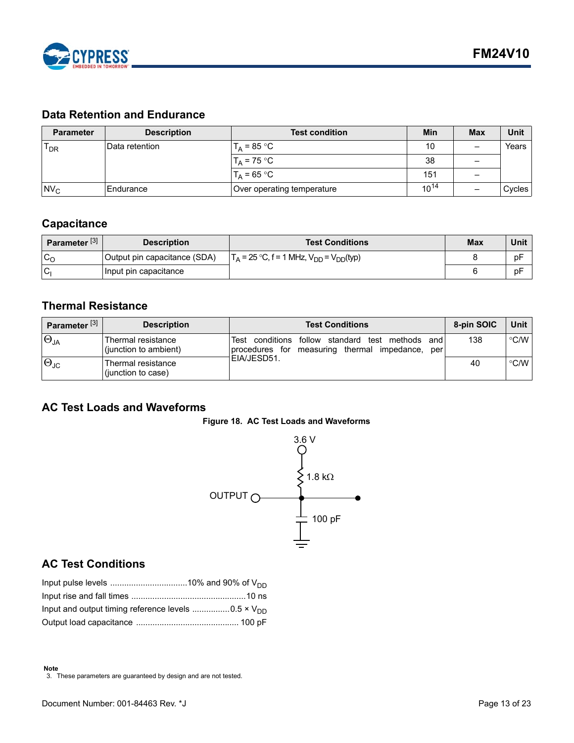

## <span id="page-12-0"></span>**Data Retention and Endurance**

| <b>Parameter</b> | <b>Description</b> | <b>Test condition</b>      | <b>Min</b> | <b>Max</b> | Unit   |
|------------------|--------------------|----------------------------|------------|------------|--------|
| $T_{DR}$         | IData retention    | $T_A = 85 °C$              | 10         | –          | Years  |
|                  |                    | $T_A$ = 75 °C              | 38         |            |        |
|                  |                    | $T_A = 65 °C$              | 151        | -          |        |
| $Nv_c$           | Endurance          | Over operating temperature | $10^{14}$  |            | Cycles |

## <span id="page-12-1"></span>**Capacitance**

| Parameter <sup>[3]</sup> | <b>Description</b>           | <b>Test Conditions</b>                            | Max | Unit |
|--------------------------|------------------------------|---------------------------------------------------|-----|------|
| $c_{\rm o}$              | Output pin capacitance (SDA) | $T_A = 25 °C$ , f = 1 MHz, $V_{DD} = V_{DD}(typ)$ |     | pF   |
| 'Cı                      | Input pin capacitance        |                                                   |     | pF   |

## <span id="page-12-2"></span>**Thermal Resistance**

| Parameter <sup>[3]</sup> | <b>Description</b>                          | <b>Test Conditions</b>                                                                                                   | 8-pin SOIC | Unit I             |
|--------------------------|---------------------------------------------|--------------------------------------------------------------------------------------------------------------------------|------------|--------------------|
| $\Theta_{JA}$            | Thermal resistance<br>(junction to ambient) | conditions follow<br>standard<br>methods<br>Test<br>test<br>and<br>measuring thermal<br>impedance, per<br>procedures for | 138        | °C/W               |
| $\Theta_{\text{JC}}$     | Thermal resistance<br>(junction to case)    | IEIA/JESD51.                                                                                                             | 40         | $\rm ^{\circ}$ C/W |

## <span id="page-12-6"></span><span id="page-12-3"></span>**AC Test Loads and Waveforms**





## <span id="page-12-4"></span>**AC Test Conditions**

<span id="page-12-5"></span>3. These parameters are guaranteed by design and are not tested.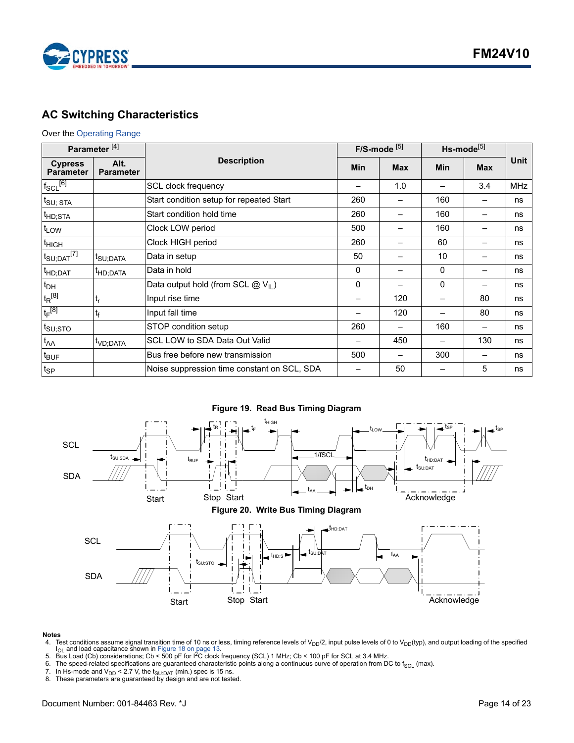

## <span id="page-13-0"></span>**AC Switching Characteristics**

#### Over the [Operating Range](#page-11-1)

| Parameter <sup>[4]</sup>             |                          |                                               |     | $F/S$ -mode $[5]$ | Hs-mode <sup>[5]</sup> |            |             |
|--------------------------------------|--------------------------|-----------------------------------------------|-----|-------------------|------------------------|------------|-------------|
| <b>Cypress</b><br><b>Parameter</b>   | Alt.<br><b>Parameter</b> | <b>Description</b>                            | Min | <b>Max</b>        | <b>Min</b>             | <b>Max</b> | <b>Unit</b> |
| $f_{SCL}$ [6]                        |                          | SCL clock frequency                           |     | 1.0               |                        | 3.4        | <b>MHz</b>  |
| $t_{\text{SU};\; \text{STA}}$        |                          | Start condition setup for repeated Start      | 260 |                   | 160                    |            | ns          |
| <sup>t</sup> HD;STA                  |                          | Start condition hold time                     | 260 |                   | 160                    | —          | ns          |
| t <sub>LOW</sub>                     |                          | Clock LOW period                              | 500 |                   | 160                    | —          | ns          |
| <sup>t</sup> HIGH                    |                          | Clock HIGH period<br>260<br>60                |     | —                 | ns                     |            |             |
| $t_{\mathsf{SU};\mathsf{DAT}}^{[7]}$ | <sup>t</sup> SU;DATA     | Data in setup                                 | 50  |                   | 10                     | —          | ns          |
| <sup>t</sup> HD;DAT                  | <sup>I</sup> HD;DATA     | Data in hold                                  | 0   |                   | 0                      | —          | ns          |
| $t_{DH}$                             |                          | Data output hold (from SCL $@V_{\text{II}}$ ) | 0   |                   | 0                      | —          | ns          |
| $t_R^{[8]}$                          | $t_{r}$                  | Input rise time                               |     | 120               |                        | 80         | ns          |
| $t_F^{[8]}$                          | $t_{\rm f}$              | Input fall time                               |     | 120               |                        | 80         | ns          |
| <sup>t</sup> s∪;sтo                  |                          | STOP condition setup                          | 260 |                   | 160                    |            | ns          |
| $t_{AA}$                             | t <sub>VD;DATA</sub>     | SCL LOW to SDA Data Out Valid                 |     | 450               |                        | 130        | ns          |
| t <sub>BUF</sub>                     |                          | Bus free before new transmission              | 500 |                   | 300                    | -          | ns          |
| $t_{SP}$                             |                          | Noise suppression time constant on SCL, SDA   |     | 50                |                        | 5          | ns          |



#### **Notes**

- <span id="page-13-1"></span>4. Test conditions assume signal transition time of 10 ns or less, timing reference levels of V<sub>DD</sub>/2, input pulse levels of 0 to V<sub>DD</sub>(typ), and output loading of the specified<br>I<sub>OL</sub> and load capacitance shown in Figure
- <span id="page-13-2"></span>
- <span id="page-13-3"></span>The speed-related specifications are guaranteed characteristic points along a continuous curve of operation from DC to  $f_{SCL}$  (max).
- <span id="page-13-4"></span>7. In Hs-mode and V<sub>DD</sub> < 2.7 V, the t<sub>SU:DAT</sub> (min.) spec is 15 ns.<br>8. These parameters are guaranteed by design and are not tested.
- <span id="page-13-5"></span>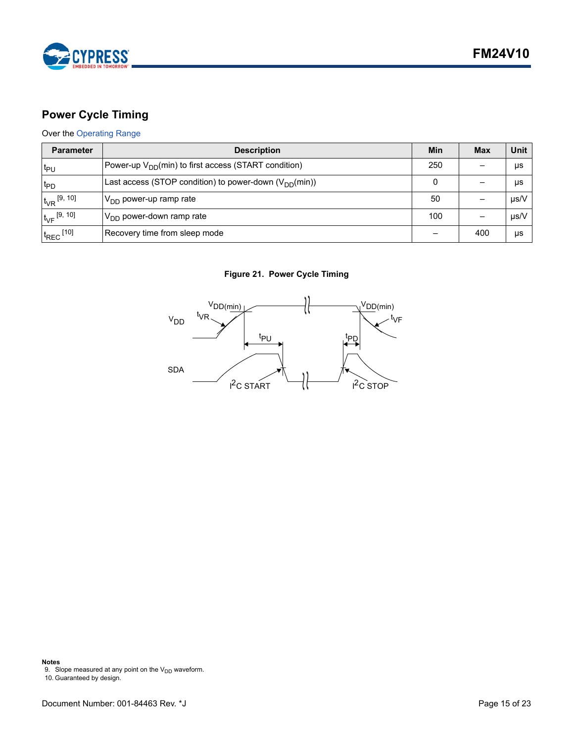

## <span id="page-14-0"></span>**Power Cycle Timing**

## Over the [Operating Range](#page-11-1)

| <b>Parameter</b>          | <b>Description</b>                                         | Min | <b>Max</b> | Unit      |
|---------------------------|------------------------------------------------------------|-----|------------|-----------|
| t <sub>PU</sub>           | Power-up $V_{DD}(min)$ to first access (START condition)   | 250 |            | μs        |
| t <sub>PD</sub>           | Last access (STOP condition) to power-down $(V_{DD}(min))$ |     |            | μs        |
| $t_{VR}$ [9, 10]          | $ V_{DD}$ power-up ramp rate                               | 50  |            | $\mu$ s/V |
| $t_{\rm VF}$ [9, 10]      | $V_{DD}$ power-down ramp rate                              | 100 |            | µs/V      |
| $t_{REC}$ <sup>[10]</sup> | Recovery time from sleep mode                              |     | 400        | μs        |

## **Figure 21. Power Cycle Timing**



**Notes**

<span id="page-14-1"></span>9. Slope measured at any point on the V<sub>DD</sub> waveform.<br>10. Guaranteed by design.

<span id="page-14-2"></span>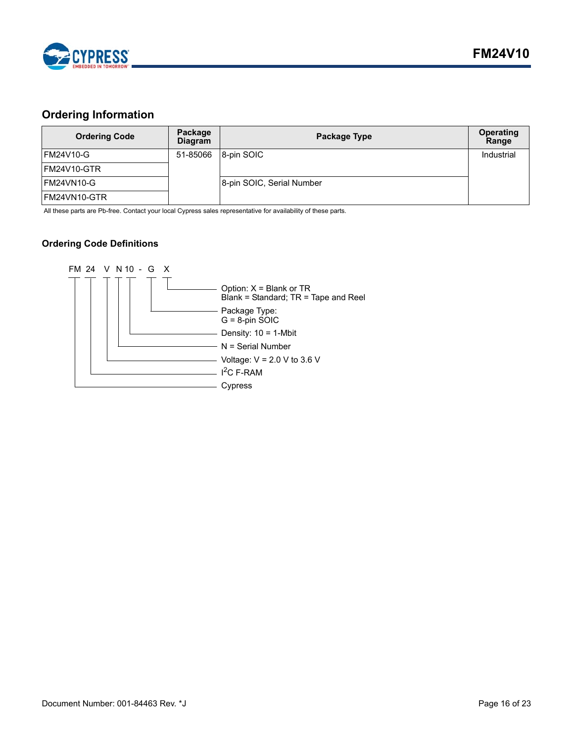

## <span id="page-15-0"></span>**Ordering Information**

| <b>Ordering Code</b> | Package<br>Diagram | <b>Package Type</b>       | <b>Operating</b><br>Range |
|----------------------|--------------------|---------------------------|---------------------------|
| <b>FM24V10-G</b>     | 51-85066           | 8-pin SOIC                | Industrial                |
| IFM24V10-GTR         |                    |                           |                           |
| FM24VN10-G           |                    | 8-pin SOIC, Serial Number |                           |
| IFM24VN10-GTR        |                    |                           |                           |

All these parts are Pb-free. Contact your local Cypress sales representative for availability of these parts.

## <span id="page-15-1"></span>**Ordering Code Definitions**

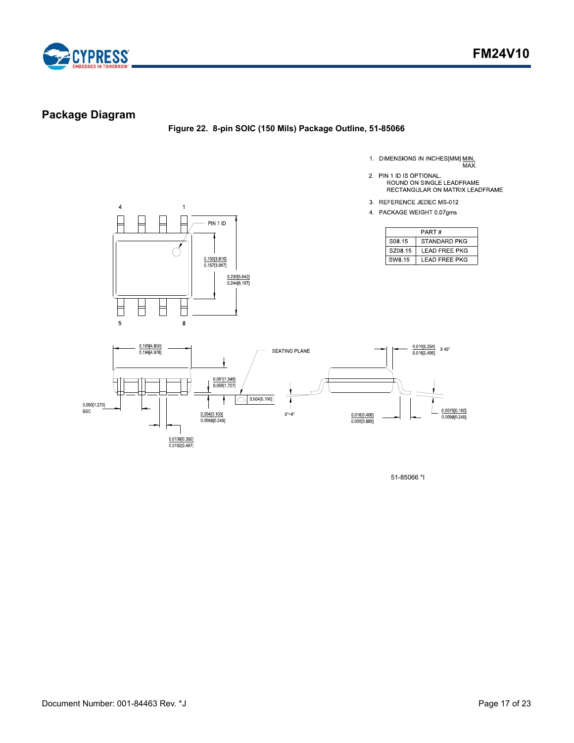

## <span id="page-16-0"></span>**Package Diagram**

**Figure 22. 8-pin SOIC (150 Mils) Package Outline, 51-85066**

- 1. DIMENSIONS IN INCHES[MM] MIN.<br>MAX.
- 2. PIN 1 ID IS OPTIONAL, ROUND ON SINGLE LEADFRAME<br>ROUND ON SINGLE LEADFRAME<br>RECTANGULAR ON MATRIX LEADFRAME
- 3 REFERENCE JEDEC MS-012
- 4 PACKAGE WEIGHT 0 07gms

| PART#              |                |  |  |
|--------------------|----------------|--|--|
| S <sub>08</sub> 15 | STANDARD PKG   |  |  |
| SZ08.15            | LEAD FREE PKG  |  |  |
| SW8.15             | I FAD FRFF PKG |  |  |





51-85066 \*I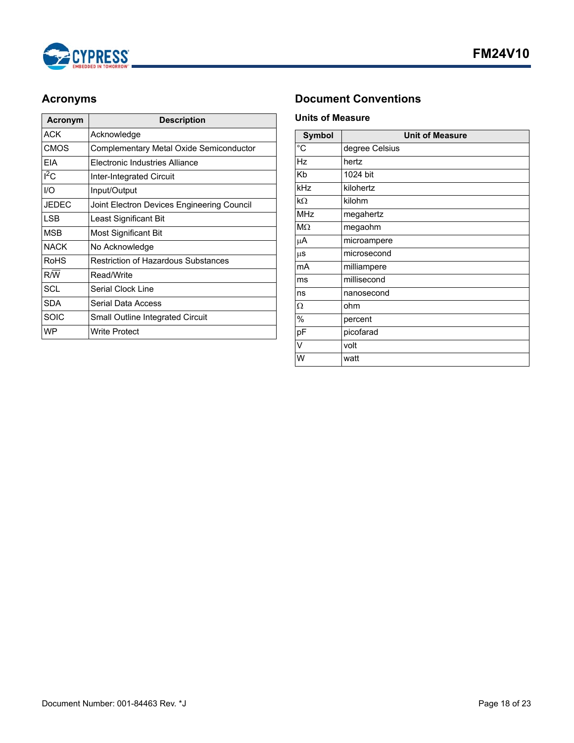

| Acronym      | <b>Description</b>                         |  |  |
|--------------|--------------------------------------------|--|--|
| ACK          | Acknowledge                                |  |  |
| <b>CMOS</b>  | Complementary Metal Oxide Semiconductor    |  |  |
| <b>FIA</b>   | Flectronic Industries Alliance             |  |  |
| $I^2C$       | Inter-Integrated Circuit                   |  |  |
| I/O          | Input/Output                               |  |  |
| <b>JEDEC</b> | Joint Electron Devices Engineering Council |  |  |
| I SB         | Least Significant Bit                      |  |  |
| <b>MSB</b>   | Most Significant Bit                       |  |  |
| <b>NACK</b>  | No Acknowledge                             |  |  |
| <b>RoHS</b>  | <b>Restriction of Hazardous Substances</b> |  |  |
| R/W          | Read/Write                                 |  |  |
| SCL          | Serial Clock Line                          |  |  |
| <b>SDA</b>   | <b>Serial Data Access</b>                  |  |  |
| <b>SOIC</b>  | Small Outline Integrated Circuit           |  |  |
| <b>WP</b>    | Write Protect                              |  |  |

## <span id="page-17-0"></span>**Acronyms Document Conventions**

## <span id="page-17-2"></span><span id="page-17-1"></span>**Units of Measure**

| <b>Symbol</b>  | <b>Unit of Measure</b> |  |  |  |
|----------------|------------------------|--|--|--|
| $\overline{C}$ | degree Celsius         |  |  |  |
| Hz             | hertz                  |  |  |  |
| Kb             | 1024 bit               |  |  |  |
| kHz            | kilohertz              |  |  |  |
| $k\Omega$      | kilohm                 |  |  |  |
| <b>MHz</b>     | megahertz              |  |  |  |
| $M\Omega$      | megaohm                |  |  |  |
| μA             | microampere            |  |  |  |
| $\mu$ s        | microsecond            |  |  |  |
| mA             | milliampere            |  |  |  |
| ms             | millisecond            |  |  |  |
| ns             | nanosecond             |  |  |  |
| Ω              | ohm                    |  |  |  |
| %              | percent                |  |  |  |
| pF             | picofarad              |  |  |  |
| V              | volt                   |  |  |  |
| W              | watt                   |  |  |  |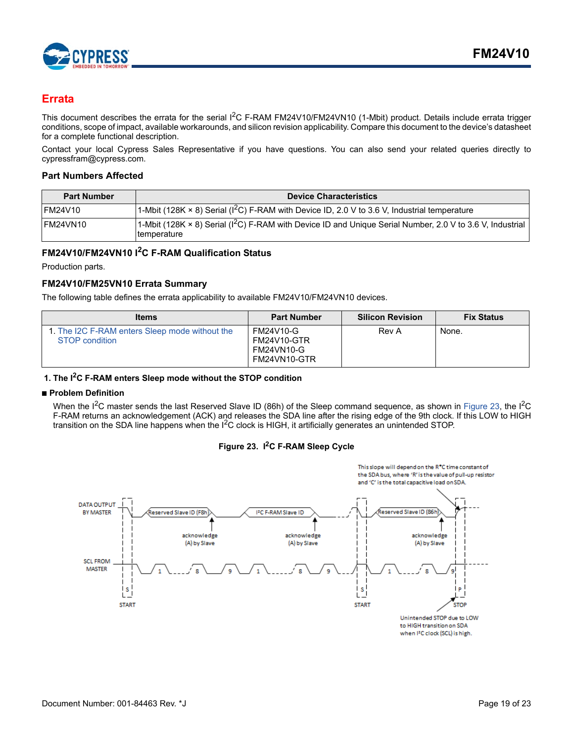

## <span id="page-18-0"></span>**Errata**

This document describes the errata for the serial  $1^2C$  F-RAM FM24V10/FM24VN10 (1-Mbit) product. Details include errata trigger conditions, scope of impact, available workarounds, and silicon revision applicability. Compare this document to the device's datasheet for a complete functional description.

Contact your local Cypress Sales Representative if you have questions. You can also send your related queries directly to cypressfram@cypress.com.

#### <span id="page-18-1"></span>**Part Numbers Affected**

| <b>Part Number</b> | <b>Device Characteristics</b>                                                                                                    |
|--------------------|----------------------------------------------------------------------------------------------------------------------------------|
| IFM24V10           | 1-Mbit (128K $\times$ 8) Serial (I <sup>2</sup> C) F-RAM with Device ID, 2.0 V to 3.6 V, Industrial temperature                  |
| FM24VN10           | 1-Mbit (128K × 8) Serial ( ${}^{12}$ C) F-RAM with Device ID and Unique Serial Number, 2.0 V to 3.6 V, Industrial<br>temperature |

## <span id="page-18-2"></span>**FM24V10/FM24VN10 I2C F-RAM Qualification Status**

Production parts.

## <span id="page-18-3"></span>**FM24V10/FM25VN10 Errata Summary**

The following table defines the errata applicability to available FM24V10/FM24VN10 devices.

| <b>Items</b>                                                            | <b>Part Number</b>                                     | <b>Silicon Revision</b> | <b>Fix Status</b> |
|-------------------------------------------------------------------------|--------------------------------------------------------|-------------------------|-------------------|
| 1. The I2C F-RAM enters Sleep mode without the<br><b>STOP</b> condition | FM24V10-G<br>FM24V10-GTR<br>FM24VN10-G<br>FM24VN10-GTR | Rev A                   | None.             |

## <span id="page-18-4"></span>**1. The I2C F-RAM enters Sleep mode without the STOP condition**

#### ■ **Problem Definition**

When the I<sup>2</sup>C master sends the last Reserved Slave ID (86h) of the Sleep command sequence, as shown in [Figure 23](#page-18-5), the I<sup>2</sup>C F-RAM returns an acknowledgement (ACK) and releases the SDA line after the rising edge of the 9th clock. If this LOW to HIGH transition on the SDA line happens when the  $I<sup>2</sup>C$  clock is HIGH, it artificially generates an unintended STOP.

#### **Figure 23. I2C F-RAM Sleep Cycle**

<span id="page-18-5"></span>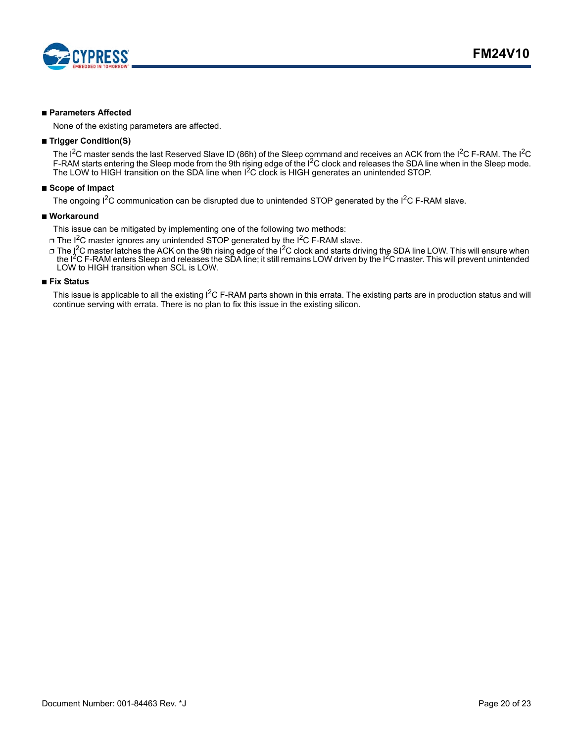

#### ■ **Parameters Affected**

None of the existing parameters are affected.

#### ■ **Trigger Condition(S)**

The I<sup>2</sup>C master sends the last Reserved Slave ID (86h) of the Sleep command and receives an ACK from the I<sup>2</sup>C F-RAM. The I<sup>2</sup>C F-RAM starts entering the Sleep mode from the 9th rising edge of the I<sup>2</sup>C clock and releases the SDA line when in the Sleep mode. The LOW to HIGH transition on the SDA line when  $I^2C$  clock is HIGH generates an unintended STOP.

#### ■ **Scope of Impact**

The ongoing I<sup>2</sup>C communication can be disrupted due to unintended STOP generated by the I<sup>2</sup>C F-RAM slave.

#### ■ Workaround

This issue can be mitigated by implementing one of the following two methods:

- $\Box$  The I<sup>2</sup>C master ignores any unintended STOP generated by the I<sup>2</sup>C F-RAM slave.
- □ The I cmaster latches the ACK on the 9th rising edge of the I <sup>2</sup>C clock and starts driving the SDA line LOW. This will ensure when the I2C F-RAM enters Sleep and releases the SDA line; it still remains LOW driven by the I2C master. This will prevent unintended LOW to HIGH transition when SCL is LOW.

#### ■ **Fix Status**

This issue is applicable to all the existing  $I^2C$  F-RAM parts shown in this errata. The existing parts are in production status and will continue serving with errata. There is no plan to fix this issue in the existing silicon.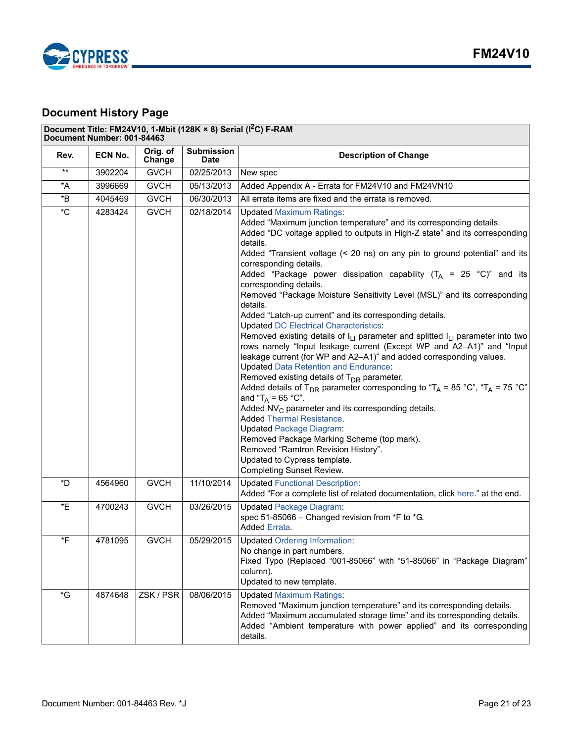

## <span id="page-20-0"></span>**Document History Page**

## Document Title: FM24V10, 1-Mbit (128K × 8) Serial (I<sup>2</sup>C) F-RAM

|                                    | Document Number: 001-84463 |                    |                                  |                                                                                                                                                                                                                                                                                                                                                                                                                                                                                                                                                                                                                                                                                                                                                                                                                                                                                                                                                                                                                                                                                                                                                                                                                                                                                                                                                                                                                  |
|------------------------------------|----------------------------|--------------------|----------------------------------|------------------------------------------------------------------------------------------------------------------------------------------------------------------------------------------------------------------------------------------------------------------------------------------------------------------------------------------------------------------------------------------------------------------------------------------------------------------------------------------------------------------------------------------------------------------------------------------------------------------------------------------------------------------------------------------------------------------------------------------------------------------------------------------------------------------------------------------------------------------------------------------------------------------------------------------------------------------------------------------------------------------------------------------------------------------------------------------------------------------------------------------------------------------------------------------------------------------------------------------------------------------------------------------------------------------------------------------------------------------------------------------------------------------|
| Rev.                               | ECN No.                    | Orig. of<br>Change | <b>Submission</b><br><b>Date</b> | <b>Description of Change</b>                                                                                                                                                                                                                                                                                                                                                                                                                                                                                                                                                                                                                                                                                                                                                                                                                                                                                                                                                                                                                                                                                                                                                                                                                                                                                                                                                                                     |
| $***$                              | 3902204                    | <b>GVCH</b>        | 02/25/2013                       | New spec                                                                                                                                                                                                                                                                                                                                                                                                                                                                                                                                                                                                                                                                                                                                                                                                                                                                                                                                                                                                                                                                                                                                                                                                                                                                                                                                                                                                         |
| *A                                 | 3996669                    | <b>GVCH</b>        | 05/13/2013                       | Added Appendix A - Errata for FM24V10 and FM24VN10                                                                                                                                                                                                                                                                                                                                                                                                                                                                                                                                                                                                                                                                                                                                                                                                                                                                                                                                                                                                                                                                                                                                                                                                                                                                                                                                                               |
| $\boldsymbol{^{\star} \mathsf{B}}$ | 4045469                    | <b>GVCH</b>        | 06/30/2013                       | All errata items are fixed and the errata is removed.                                                                                                                                                                                                                                                                                                                                                                                                                                                                                                                                                                                                                                                                                                                                                                                                                                                                                                                                                                                                                                                                                                                                                                                                                                                                                                                                                            |
| $\overline{C}$                     | 4283424                    | <b>GVCH</b>        | 02/18/2014                       | <b>Updated Maximum Ratings:</b><br>Added "Maximum junction temperature" and its corresponding details.<br>Added "DC voltage applied to outputs in High-Z state" and its corresponding<br>details.<br>Added "Transient voltage (< 20 ns) on any pin to ground potential" and its<br>corresponding details.<br>Added "Package power dissipation capability $(T_A = 25 \degree C)^n$ and its<br>corresponding details.<br>Removed "Package Moisture Sensitivity Level (MSL)" and its corresponding<br>details.<br>Added "Latch-up current" and its corresponding details.<br><b>Updated DC Electrical Characteristics:</b><br>Removed existing details of $I_{L1}$ parameter and splitted $I_{L1}$ parameter into two<br>rows namely "Input leakage current (Except WP and A2-A1)" and "Input<br>leakage current (for WP and A2-A1)" and added corresponding values.<br><b>Updated Data Retention and Endurance:</b><br>Removed existing details of T <sub>DR</sub> parameter.<br>Added details of T <sub>DR</sub> parameter corresponding to "T <sub>A</sub> = 85 °C", "T <sub>A</sub> = 75 °C"<br>and " $T_A = 65 °C$ ".<br>Added $NV_C$ parameter and its corresponding details.<br><b>Added Thermal Resistance.</b><br><b>Updated Package Diagram:</b><br>Removed Package Marking Scheme (top mark).<br>Removed "Ramtron Revision History".<br>Updated to Cypress template.<br><b>Completing Sunset Review.</b> |
| *D                                 | 4564960                    | <b>GVCH</b>        | 11/10/2014                       | <b>Updated Functional Description:</b>                                                                                                                                                                                                                                                                                                                                                                                                                                                                                                                                                                                                                                                                                                                                                                                                                                                                                                                                                                                                                                                                                                                                                                                                                                                                                                                                                                           |
|                                    |                            |                    |                                  | Added "For a complete list of related documentation, click here." at the end.                                                                                                                                                                                                                                                                                                                                                                                                                                                                                                                                                                                                                                                                                                                                                                                                                                                                                                                                                                                                                                                                                                                                                                                                                                                                                                                                    |
| *E                                 | 4700243                    | <b>GVCH</b>        | 03/26/2015                       | <b>Updated Package Diagram:</b><br>spec 51-85066 - Changed revision from *F to *G.<br>Added Errata.                                                                                                                                                                                                                                                                                                                                                                                                                                                                                                                                                                                                                                                                                                                                                                                                                                                                                                                                                                                                                                                                                                                                                                                                                                                                                                              |
| *F                                 | 4781095                    | <b>GVCH</b>        | 05/29/2015                       | <b>Updated Ordering Information:</b><br>No change in part numbers.<br>Fixed Typo (Replaced "001-85066" with "51-85066" in "Package Diagram"<br>column).<br>Updated to new template.                                                                                                                                                                                                                                                                                                                                                                                                                                                                                                                                                                                                                                                                                                                                                                                                                                                                                                                                                                                                                                                                                                                                                                                                                              |
| $\,{}^{\star}{\rm G}$              | 4874648                    | ZSK / PSR          | 08/06/2015                       | <b>Updated Maximum Ratings:</b><br>Removed "Maximum junction temperature" and its corresponding details.<br>Added "Maximum accumulated storage time" and its corresponding details.<br>Added "Ambient temperature with power applied" and its corresponding<br>details.                                                                                                                                                                                                                                                                                                                                                                                                                                                                                                                                                                                                                                                                                                                                                                                                                                                                                                                                                                                                                                                                                                                                          |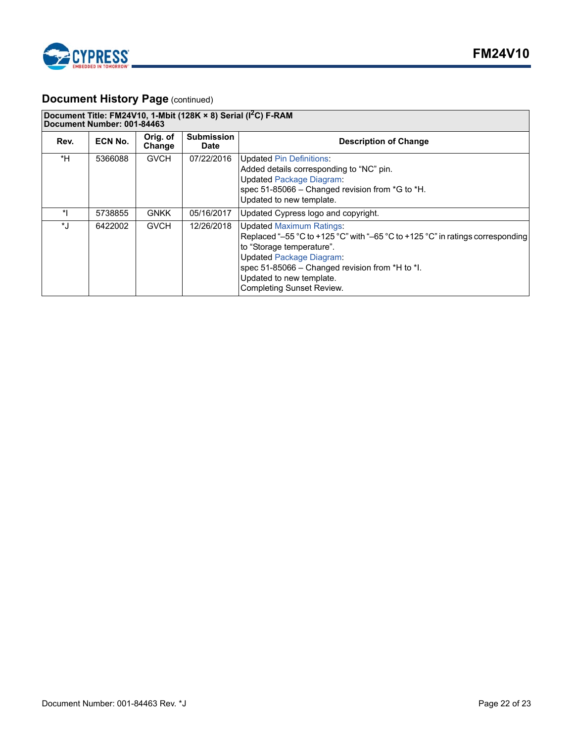

## **Document History Page (continued)**

|           | Document Title: FM24V10, 1-Mbit (128K $\times$ 8) Serial ( $1^2$ C) F-RAM<br>Document Number: 001-84463 |                    |                                  |                                                                                                                                                                                                                                                                                                      |  |
|-----------|---------------------------------------------------------------------------------------------------------|--------------------|----------------------------------|------------------------------------------------------------------------------------------------------------------------------------------------------------------------------------------------------------------------------------------------------------------------------------------------------|--|
| Rev.      | ECN No.                                                                                                 | Orig. of<br>Change | <b>Submission</b><br><b>Date</b> | <b>Description of Change</b>                                                                                                                                                                                                                                                                         |  |
| *H        | 5366088                                                                                                 | <b>GVCH</b>        | 07/22/2016                       | <b>Updated Pin Definitions:</b><br>Added details corresponding to "NC" pin.<br><b>Updated Package Diagram:</b><br>spec 51-85066 - Changed revision from *G to *H.<br>Updated to new template.                                                                                                        |  |
| *         | 5738855                                                                                                 | <b>GNKK</b>        | 05/16/2017                       | Updated Cypress logo and copyright.                                                                                                                                                                                                                                                                  |  |
| $\star$ . | 6422002                                                                                                 | <b>GVCH</b>        | 12/26/2018                       | <b>Updated Maximum Ratings:</b><br>Replaced "-55 °C to +125 °C" with "-65 °C to +125 °C" in ratings corresponding<br>to "Storage temperature".<br><b>Updated Package Diagram:</b><br>spec 51-85066 - Changed revision from *H to *I.<br>Updated to new template.<br><b>Completing Sunset Review.</b> |  |